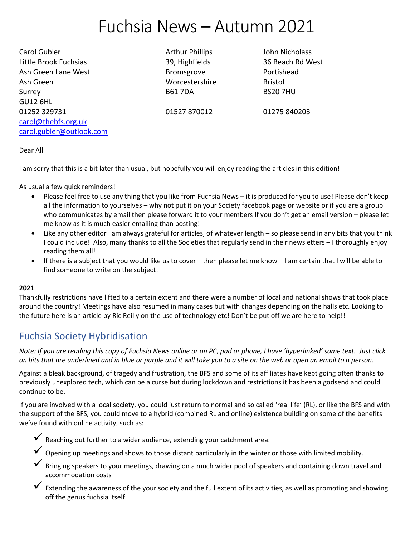# Fuchsia News – Autumn 2021

Carol Gubler **Arthur Phillips** John Nicholass **Carol** Little Brook Fuchsias 39, Highfields 36 Beach Rd West Ash Green Lane West **Bromsgrove** Bromsgrove **Portishead** Ash Green North Bristol Communist Communist Communist Communist Communist Communist Communist Communist Communist Communist Communist Communist Communist Communist Communist Communist Communist Communist Communist Communis Surrey B61 7DA BS20 7HU GU12 6HL 01252 329731 01527 870012 01275 840203 [carol@thebfs.org.uk](mailto:carol@thebfs.org.uk) carol.gubler@outlook.com

Dear All

I am sorry that this is a bit later than usual, but hopefully you will enjoy reading the articles in this edition!

As usual a few quick reminders!

- Please feel free to use any thing that you like from Fuchsia News it is produced for you to use! Please don't keep all the information to yourselves – why not put it on your Society facebook page or website or if you are a group who communicates by email then please forward it to your members If you don't get an email version – please let me know as it is much easier emailing than posting!
- Like any other editor I am always grateful for articles, of whatever length so please send in any bits that you think I could include! Also, many thanks to all the Societies that regularly send in their newsletters – I thoroughly enjoy reading them all!
- If there is a subject that you would like us to cover then please let me know I am certain that I will be able to find someone to write on the subject!

#### **2021**

Thankfully restrictions have lifted to a certain extent and there were a number of local and national shows that took place around the country! Meetings have also resumed in many cases but with changes depending on the halls etc. Looking to the future here is an article by Ric Reilly on the use of technology etc! Don't be put off we are here to help!!

# Fuchsia Society Hybridisation

*Note: If you are reading this copy of Fuchsia News online or on PC, pad or phone, I have 'hyperlinked' some text. Just click on bits that are underlined and in blue or purple and it will take you to a site on the web or open an email to a person.*

Against a bleak background, of tragedy and frustration, the BFS and some of its affiliates have kept going often thanks to previously unexplored tech, which can be a curse but during lockdown and restrictions it has been a godsend and could continue to be.

If you are involved with a local society, you could just return to normal and so called 'real life' (RL), or like the BFS and with the support of the BFS, you could move to a hybrid (combined RL and online) existence building on some of the benefits we've found with online activity, such as:



- $\checkmark$  Opening up meetings and shows to those distant particularly in the winter or those with limited mobility.
- Bringing speakers to your meetings, drawing on a much wider pool of speakers and containing down travel and accommodation costs
- $\checkmark$  Extending the awareness of the your society and the full extent of its activities, as well as promoting and showing off the genus fuchsia itself.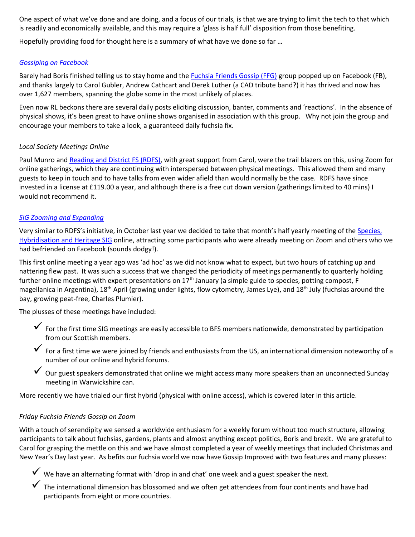One aspect of what we've done and are doing, and a focus of our trials, is that we are trying to limit the tech to that which is readily and economically available, and this may require a 'glass is half full' disposition from those benefiting.

Hopefully providing food for thought here is a summary of what have we done so far …

#### *[Gossiping on Facebook](https://www.facebook.com/groups/639305193300661)*

Barely had Boris finished telling us to stay home and th[e Fuchsia Friends Gossip \(FFG\)](https://www.facebook.com/groups/639305193300661) group popped up on Facebook (FB), and thanks largely to Carol Gubler, Andrew Cathcart and Derek Luther (a CAD tribute band?) it has thrived and now has over 1,627 members, spanning the globe some in the most unlikely of places.

Even now RL beckons there are several daily posts eliciting discussion, banter, comments and 'reactions'. In the absence of physical shows, it's been great to have online shows organised in association with this group. Why not join the group and encourage your members to take a look, a guaranteed daily fuchsia fix.

#### *Local Society Meetings Online*

Paul Munro and Reading [and District FS \(RDFS\),](https://www.facebook.com/groups/1256103627795430) with great support from Carol, were the trail blazers on this, using Zoom for online gatherings, which they are continuing with interspersed between physical meetings. This allowed them and many guests to keep in touch and to have talks from even wider afield than would normally be the case. RDFS have since invested in a license at £119.00 a year, and although there is a free cut down version (gatherings limited to 40 mins) I would not recommend it.

#### *SIG Zooming [and Expanding](https://www.facebook.com/groups/1853249361581999)*

Very similar to RDFS's initiative, in October last year we decided to take that month's half yearly meeting of the Species, [Hybridisation and Heritage SIG](https://www.facebook.com/groups/1853249361581999) online, attracting some participants who were already meeting on Zoom and others who we had befriended on Facebook (sounds dodgy!).

This first online meeting a year ago was 'ad hoc' as we did not know what to expect, but two hours of catching up and nattering flew past. It was such a success that we changed the periodicity of meetings permanently to quarterly holding further online meetings with expert presentations on  $17<sup>th</sup>$  January (a simple guide to species, potting compost, F magellanica in Argentina), 18<sup>th</sup> April (growing under lights, flow cytometry, James Lye), and 18<sup>th</sup> July (fuchsias around the bay, growing peat-free, Charles Plumier).

The plusses of these meetings have included:

- ✓ For the first time SIG meetings are easily accessible to BFS members nationwide, demonstrated by participation from our Scottish members.
- $\checkmark$  For a first time we were joined by friends and enthusiasts from the US, an international dimension noteworthy of a number of our online and hybrid forums.
- ✓ Our guest speakers demonstrated that online we might access many more speakers than an unconnected Sunday meeting in Warwickshire can.

More recently we have trialed our first hybrid (physical with online access), which is covered later in this article.

# *Friday Fuchsia Friends Gossip on Zoom*

With a touch of serendipity we sensed a worldwide enthusiasm for a weekly forum without too much structure, allowing participants to talk about fuchsias, gardens, plants and almost anything except politics, Boris and brexit. We are grateful to Carol for grasping the mettle on this and we have almost completed a year of weekly meetings that included Christmas and New Year's Day last year. As befits our fuchsia world we now have Gossip Improved with two features and many plusses:

- $\checkmark$  We have an alternating format with 'drop in and chat' one week and a guest speaker the next.
- $\checkmark$  The international dimension has blossomed and we often get attendees from four continents and have had participants from eight or more countries.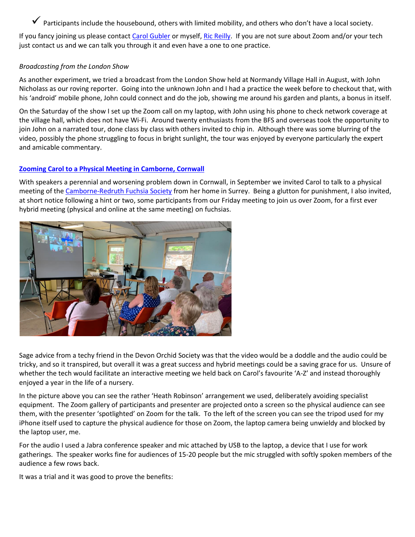$\checkmark$  Participants include the housebound, others with limited mobility, and others who don't have a local society.

If you fancy joining us please contact [Carol Gubler](mailto:carol.gubler@outlook.com?subject=SIG%20Meeting) or myself, [Ric Reilly.](mailto:ricreilly@icloud.com?subject=SIG%20Meeting) If you are not sure about Zoom and/or your tech just contact us and we can talk you through it and even have a one to one practice.

# *Broadcasting from the London Show*

As another experiment, we tried a broadcast from the London Show held at Normandy Village Hall in August, with John Nicholass as our roving reporter. Going into the unknown John and I had a practice the week before to checkout that, with his 'android' mobile phone, John could connect and do the job, showing me around his garden and plants, a bonus in itself.

On the Saturday of the show I set up the Zoom call on my laptop, with John using his phone to check network coverage at the village hall, which does not have Wi-Fi. Around twenty enthusiasts from the BFS and overseas took the opportunity to join John on a narrated tour, done class by class with others invited to chip in. Although there was some blurring of the video, possibly the phone struggling to focus in bright sunlight, the tour was enjoyed by everyone particularly the expert and amicable commentary.

# **[Zooming Carol to a Physical Meeting in Camborne, Cornwall](https://www.facebook.com/groups/542877562562237/)**

With speakers a perennial and worsening problem down in Cornwall, in September we invited Carol to talk to a physical meeting of the [Camborne-Redruth Fuchsia Society](https://www.facebook.com/groups/542877562562237/) from her home in Surrey. Being a glutton for punishment, I also invited, at short notice following a hint or two, some participants from our Friday meeting to join us over Zoom, for a first ever hybrid meeting (physical and online at the same meeting) on fuchsias.



Sage advice from a techy friend in the Devon Orchid Society was that the video would be a doddle and the audio could be tricky, and so it transpired, but overall it was a great success and hybrid meetings could be a saving grace for us. Unsure of whether the tech would facilitate an interactive meeting we held back on Carol's favourite 'A-Z' and instead thoroughly enjoyed a year in the life of a nursery.

In the picture above you can see the rather 'Heath Robinson' arrangement we used, deliberately avoiding specialist equipment. The Zoom gallery of participants and presenter are projected onto a screen so the physical audience can see them, with the presenter 'spotlighted' on Zoom for the talk. To the left of the screen you can see the tripod used for my iPhone itself used to capture the physical audience for those on Zoom, the laptop camera being unwieldy and blocked by the laptop user, me.

For the audio I used a Jabra conference speaker and mic attached by USB to the laptop, a device that I use for work gatherings. The speaker works fine for audiences of 15-20 people but the mic struggled with softly spoken members of the audience a few rows back.

It was a trial and it was good to prove the benefits: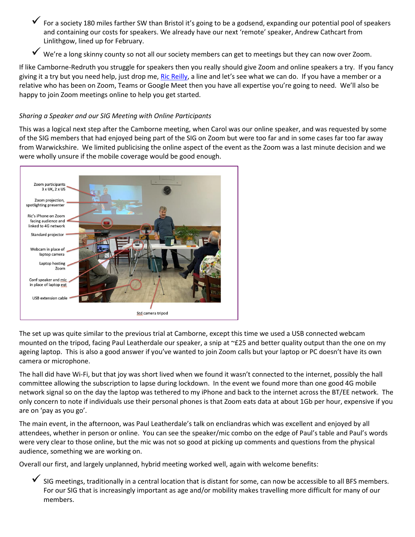- ✓ For a society 180 miles farther SW than Bristol it's going to be a godsend, expanding our potential pool of speakers and containing our costs for speakers. We already have our next 'remote' speaker, Andrew Cathcart from Linlithgow, lined up for February.
- ✓ We're a long skinny county so not all our society members can get to meetings but they can now over Zoom.

If like Camborne-Redruth you struggle for speakers then you really should give Zoom and online speakers a try. If you fancy giving it a try but you need help, just drop me, [Ric Reilly,](mailto:ricreilly@icloud.com?subject=SIG%20Meeting) a line and let's see what we can do. If you have a member or a relative who has been on Zoom, Teams or Google Meet then you have all expertise you're going to need. We'll also be happy to join Zoom meetings online to help you get started.

# *Sharing a Speaker and our SIG Meeting with Online Participants*

This was a logical next step after the Camborne meeting, when Carol was our online speaker, and was requested by some of the SIG members that had enjoyed being part of the SIG on Zoom but were too far and in some cases far too far away from Warwickshire. We limited publicising the online aspect of the event as the Zoom was a last minute decision and we were wholly unsure if the mobile coverage would be good enough.



The set up was quite similar to the previous trial at Camborne, except this time we used a USB connected webcam mounted on the tripod, facing Paul Leatherdale our speaker, a snip at ~£25 and better quality output than the one on my ageing laptop. This is also a good answer if you've wanted to join Zoom calls but your laptop or PC doesn't have its own camera or microphone.

The hall did have Wi-Fi, but that joy was short lived when we found it wasn't connected to the internet, possibly the hall committee allowing the subscription to lapse during lockdown. In the event we found more than one good 4G mobile network signal so on the day the laptop was tethered to my iPhone and back to the internet across the BT/EE network. The only concern to note if individuals use their personal phones is that Zoom eats data at about 1Gb per hour, expensive if you are on 'pay as you go'.

The main event, in the afternoon, was Paul Leatherdale's talk on encliandras which was excellent and enjoyed by all attendees, whether in person or online. You can see the speaker/mic combo on the edge of Paul's table and Paul's words were very clear to those online, but the mic was not so good at picking up comments and questions from the physical audience, something we are working on.

Overall our first, and largely unplanned, hybrid meeting worked well, again with welcome benefits:

✓ SIG meetings, traditionally in a central location that is distant for some, can now be accessible to all BFS members. For our SIG that is increasingly important as age and/or mobility makes travelling more difficult for many of our members.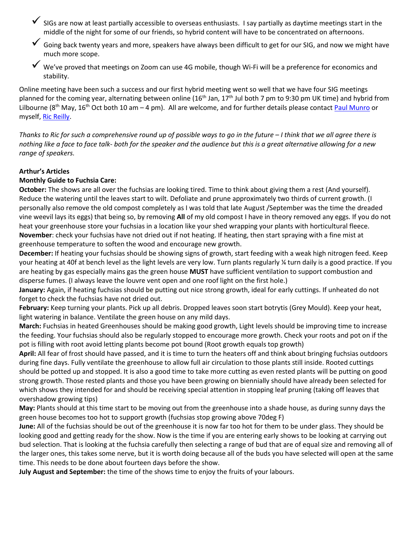- ✓ SIGs are now at least partially accessible to overseas enthusiasts. I say partially as daytime meetings start in the middle of the night for some of our friends, so hybrid content will have to be concentrated on afternoons.
- $\checkmark$  Going back twenty years and more, speakers have always been difficult to get for our SIG, and now we might have much more scope.
- ✓ We've proved that meeting<sup>s</sup> on Zoom can use 4G mobile, though Wi-Fi will be a preference for economics and stability.

Online meeting have been such a success and our first hybrid meeting went so well that we have four SIG meetings planned for the coming year, alternating between online (16<sup>th</sup> Jan, 17<sup>th</sup> Jul both 7 pm to 9:30 pm UK time) and hybrid from Lilbourne (8<sup>th</sup> May, 16<sup>th</sup> Oct both 10 am – 4 pm). All are welcome, and for further details please contact [Paul Munro](mailto:paul4sig@btinternet.com?subject=SIG%20Meeting) or myself, [Ric Reilly.](mailto:ricreilly@icloud.com?subject=SIG%20Meeting)

*Thanks to Ric for such a comprehensive round up of possible ways to go in the future – I think that we all agree there is nothing like a face to face talk- both for the speaker and the audience but this is a great alternative allowing for a new range of speakers.* 

# **Arthur's Articles**

#### **Monthly Guide to Fuchsia Care:**

**October:** The shows are all over the fuchsias are looking tired. Time to think about giving them a rest (And yourself). Reduce the watering until the leaves start to wilt. Defoliate and prune approximately two thirds of current growth. (I personally also remove the old compost completely as I was told that late August /September was the time the dreaded vine weevil lays its eggs) that being so, by removing **All** of my old compost I have in theory removed any eggs. If you do not heat your greenhouse store your fuchsias in a location like your shed wrapping your plants with horticultural fleece. **November**: check your fuchsias have not dried out if not heating. If heating, then start spraying with a fine mist at greenhouse temperature to soften the wood and encourage new growth.

**December:** If heating your fuchsias should be showing signs of growth, start feeding with a weak high nitrogen feed. Keep your heating at 40f at bench level as the light levels are very low. Turn plants regularly ¼ turn daily is a good practice. If you are heating by gas especially mains gas the green house **MUST** have sufficient ventilation to support combustion and disperse fumes. (I always leave the louvre vent open and one roof light on the first hole.)

**January:** Again, if heating fuchsias should be putting out nice strong growth, ideal for early cuttings. If unheated do not forget to check the fuchsias have not dried out.

**February:** Keep turning your plants. Pick up all debris. Dropped leaves soon start botrytis (Grey Mould). Keep your heat, light watering in balance. Ventilate the green house on any mild days.

**March:** Fuchsias in heated Greenhouses should be making good growth, Light levels should be improving time to increase the feeding. Your fuchsias should also be regularly stopped to encourage more growth. Check your roots and pot on if the pot is filling with root avoid letting plants become pot bound (Root growth equals top growth)

**April:** All fear of frost should have passed, and it is time to turn the heaters off and think about bringing fuchsias outdoors during fine days. Fully ventilate the greenhouse to allow full air circulation to those plants still inside. Rooted cuttings should be potted up and stopped. It is also a good time to take more cutting as even rested plants will be putting on good strong growth. Those rested plants and those you have been growing on biennially should have already been selected for which shows they intended for and should be receiving special attention in stopping leaf pruning (taking off leaves that overshadow growing tips)

**May:** Plants should at this time start to be moving out from the greenhouse into a shade house, as during sunny days the green house becomes too hot to support growth (fuchsias stop growing above 70deg F)

**June:** All of the fuchsias should be out of the greenhouse it is now far too hot for them to be under glass. They should be looking good and getting ready for the show. Now is the time if you are entering early shows to be looking at carrying out bud selection. That is looking at the fuchsia carefully then selecting a range of bud that are of equal size and removing all of the larger ones, this takes some nerve, but it is worth doing because all of the buds you have selected will open at the same time. This needs to be done about fourteen days before the show.

**July August and September:** the time of the shows time to enjoy the fruits of your labours.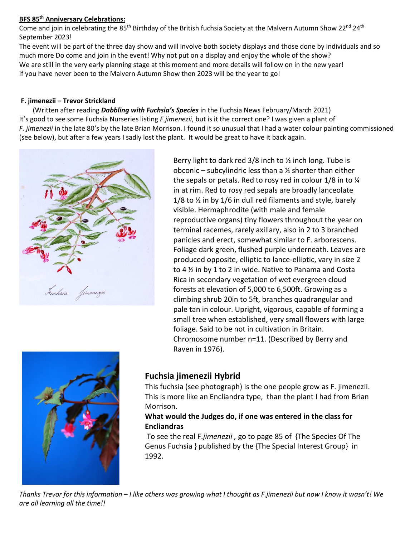# **BFS 85 th Anniversary Celebrations:**

Come and join in celebrating the 85<sup>th</sup> Birthday of the British fuchsia Society at the Malvern Autumn Show 22<sup>nd</sup> 24<sup>th</sup> September 2023!

The event will be part of the three day show and will involve both society displays and those done by individuals and so much more Do come and join in the event! Why not put on a display and enjoy the whole of the show? We are still in the very early planning stage at this moment and more details will follow on in the new year! If you have never been to the Malvern Autumn Show then 2023 will be the year to go!

# **F. jimenezii – Trevor Strickland**

 (Written after reading *Dabbling with Fuchsia's Species* in the Fuchsia News February/March 2021) It's good to see some Fuchsia Nurseries listing *F.jimenezii*, but is it the correct one? I was given a plant of *F. jimenezii* in the late 80's by the late Brian Morrison. I found it so unusual that I had a water colour painting commissioned (see below), but after a few years I sadly lost the plant. It would be great to have it back again.



Berry light to dark red  $3/8$  inch to  $\frac{1}{2}$  inch long. Tube is obconic – subcylindric less than a  $\frac{1}{4}$  shorter than either the sepals or petals. Red to rosy red in colour 1/8 in to ¼ in at rim. Red to rosy red sepals are broadly lanceolate 1/8 to  $\frac{1}{8}$  in by 1/6 in dull red filaments and style, barely visible. Hermaphrodite (with male and female reproductive organs) tiny flowers throughout the year on terminal racemes, rarely axillary, also in 2 to 3 branched panicles and erect, somewhat similar to F. arborescens. Foliage dark green, flushed purple underneath. Leaves are produced opposite, elliptic to lance-elliptic, vary in size 2 to 4 ½ in by 1 to 2 in wide. Native to Panama and Costa Rica in secondary vegetation of wet evergreen cloud forests at elevation of 5,000 to 6,500ft. Growing as a climbing shrub 20in to 5ft, branches quadrangular and pale tan in colour. Upright, vigorous, capable of forming a small tree when established, very small flowers with large foliage. Said to be not in cultivation in Britain. Chromosome number n=11. (Described by Berry and Raven in 1976).



# **Fuchsia jimenezii Hybrid**

This fuchsia (see photograph) is the one people grow as F. jimenezii. This is more like an Encliandra type, than the plant I had from Brian Morrison.

# **What would the Judges do, if one was entered in the class for Encliandras**

To see the real F.*jimenezii ,* go to page 85 of {The Species Of The Genus Fuchsia } published by the {The Special Interest Group} in 1992.

*Thanks Trevor for this information – I like others was growing what I thought as F.jimenezii but now I know it wasn't! We are all learning all the time!!*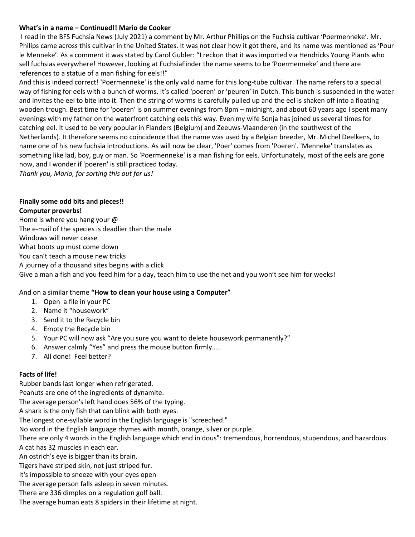#### **What's in a name – Continued!! Mario de Cooker**

I read in the BFS Fuchsia News (July 2021) a comment by Mr. Arthur Phillips on the Fuchsia cultivar 'Poermenneke'. Mr. Philips came across this cultivar in the United States. It was not clear how it got there, and its name was mentioned as 'Pour le Menneke'. As a comment it was stated by Carol Gubler: "I reckon that it was imported via Hendricks Young Plants who sell fuchsias everywhere! However, looking at FuchsiaFinder the name seems to be 'Poermenneke' and there are references to a statue of a man fishing for eels!!"

And this is indeed correct! 'Poermenneke' is the only valid name for this long-tube cultivar. The name refers to a special way of fishing for eels with a bunch of worms. It's called 'poeren' or 'peuren' in Dutch. This bunch is suspended in the water and invites the eel to bite into it. Then the string of worms is carefully pulled up and the eel is shaken off into a floating wooden trough. Best time for 'poeren' is on summer evenings from 8pm – midnight, and about 60 years ago I spent many evenings with my father on the waterfront catching eels this way. Even my wife Sonja has joined us several times for catching eel. It used to be very popular in Flanders (Belgium) and Zeeuws-Vlaanderen (in the southwest of the Netherlands). It therefore seems no coincidence that the name was used by a Belgian breeder, Mr. Michel Deelkens, to name one of his new fuchsia introductions. As will now be clear, 'Poer' comes from 'Poeren'. 'Menneke' translates as something like lad, boy, guy or man. So 'Poermenneke' is a man fishing for eels. Unfortunately, most of the eels are gone now, and I wonder if 'poeren' is still practiced today.

*Thank you, Mario, for sorting this out for us!*

#### **Finally some odd bits and pieces!! Computer proverbs!**

Home is where you hang your @ The e-mail of the species is deadlier than the male Windows will never cease What boots up must come down You can't teach a mouse new tricks A journey of a thousand sites begins with a click Give a man a fish and you feed him for a day, teach him to use the net and you won't see him for weeks!

# And on a similar theme **"How to clean your house using a Computer"**

- 1. Open a file in your PC
- 2. Name it "housework"
- 3. Send it to the Recycle bin
- 4. Empty the Recycle bin
- 5. Your PC will now ask "Are you sure you want to delete housework permanently?"
- 6. Answer calmly "Yes" and press the mouse button firmly…..
- 7. All done! Feel better?

# **Facts of life!**

Rubber bands last longer when refrigerated.

Peanuts are one of the ingredients of dynamite.

The average person's left hand does 56% of the typing.

A shark is the only fish that can blink with both eyes.

The longest one-syllable word in the English language is "screeched."

No word in the English language rhymes with month, orange, silver or purple.

There are only 4 words in the English language which end in dous": tremendous, horrendous, stupendous, and hazardous. A cat has 32 muscles in each ear.

An ostrich's eye is bigger than its brain.

Tigers have striped skin, not just striped fur.

It's impossible to sneeze with your eyes open

The average person falls asleep in seven minutes.

There are 336 dimples on a regulation golf ball.

The average human eats 8 spiders in their lifetime at night.